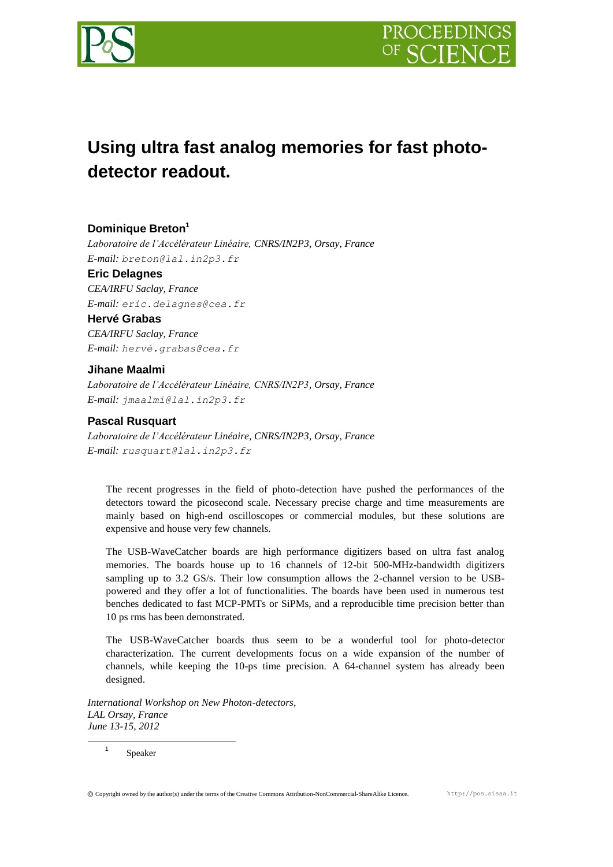

# **Using ultra fast analog memories for fast photodetector readout.**

## **Dominique Breton<sup>1</sup>**

*Laboratoire de l'Accélérateur Linéaire, CNRS/IN2P3, Orsay, France E-mail: breton@lal.in2p3.fr*

## **Eric Delagnes**

*CEA/IRFU Saclay, France E-mail: [eric.delagnes@cea.fr](mailto:eric.delagnes@cea.fr)*

## **Hervé Grabas**

*CEA/IRFU Saclay, France E-mail: hervé.grabas@cea.fr*

## **Jihane Maalmi**

*Laboratoire de l'Accélérateur Linéaire, CNRS/IN2P3, Orsay, France E-mail: jmaalmi@lal.in2p3.fr*

## **Pascal Rusquart**

*Laboratoire de l'Accélérateur Linéaire, CNRS/IN2P3, Orsay, France E-mail: rusquart@lal.in2p3.fr*

The recent progresses in the field of photo-detection have pushed the performances of the detectors toward the picosecond scale. Necessary precise charge and time measurements are mainly based on high-end oscilloscopes or commercial modules, but these solutions are expensive and house very few channels.

The USB-WaveCatcher boards are high performance digitizers based on ultra fast analog memories. The boards house up to 16 channels of 12-bit 500-MHz-bandwidth digitizers sampling up to 3.2 GS/s. Their low consumption allows the 2-channel version to be USBpowered and they offer a lot of functionalities. The boards have been used in numerous test benches dedicated to fast MCP-PMTs or SiPMs, and a reproducible time precision better than 10 ps rms has been demonstrated.

The USB-WaveCatcher boards thus seem to be a wonderful tool for photo-detector characterization. The current developments focus on a wide expansion of the number of channels, while keeping the 10-ps time precision. A 64-channel system has already been designed.

*International Workshop on New Photon-detectors, LAL Orsay, France June 13-15, 2012*

1 Speaker

<u>.</u>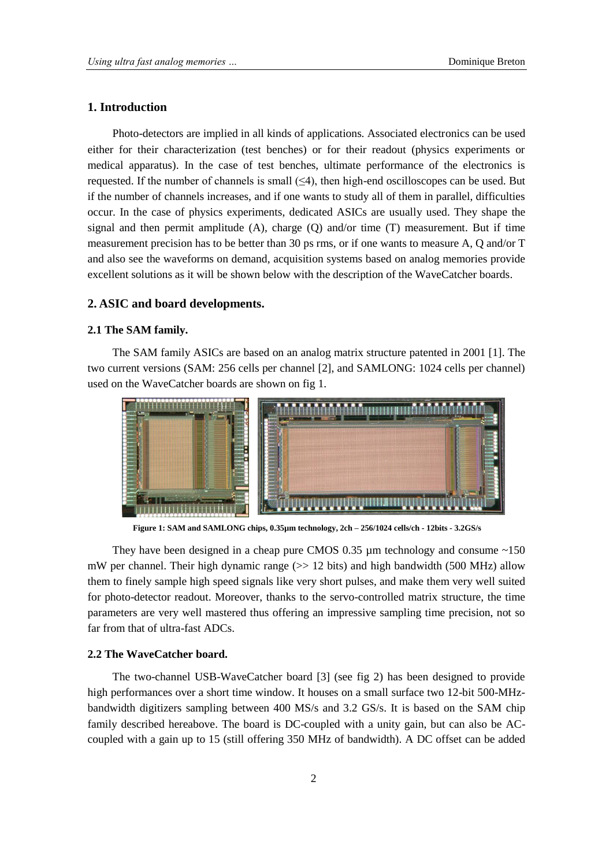## **1. Introduction**

Photo-detectors are implied in all kinds of applications. Associated electronics can be used either for their characterization (test benches) or for their readout (physics experiments or medical apparatus). In the case of test benches, ultimate performance of the electronics is requested. If the number of channels is small  $(\leq 4)$ , then high-end oscilloscopes can be used. But if the number of channels increases, and if one wants to study all of them in parallel, difficulties occur. In the case of physics experiments, dedicated ASICs are usually used. They shape the signal and then permit amplitude  $(A)$ , charge  $(Q)$  and/or time  $(T)$  measurement. But if time measurement precision has to be better than 30 ps rms, or if one wants to measure A, Q and/or T and also see the waveforms on demand, acquisition systems based on analog memories provide excellent solutions as it will be shown below with the description of the WaveCatcher boards.

#### **2. ASIC and board developments.**

### **2.1 The SAM family.**

The SAM family ASICs are based on an analog matrix structure patented in 2001 [1]. The two current versions (SAM: 256 cells per channel [2], and SAMLONG: 1024 cells per channel) used on the WaveCatcher boards are shown on fig 1.



**Figure 1: SAM and SAMLONG chips, 0.35µm technology, 2ch – 256/1024 cells/ch - 12bits - 3.2GS/s**

They have been designed in a cheap pure CMOS  $0.35 \mu$ m technology and consume  $\sim 150$ mW per channel. Their high dynamic range  $(> 12 \text{ bits})$  and high bandwidth (500 MHz) allow them to finely sample high speed signals like very short pulses, and make them very well suited for photo-detector readout. Moreover, thanks to the servo-controlled matrix structure, the time parameters are very well mastered thus offering an impressive sampling time precision, not so far from that of ultra-fast ADCs.

## **2.2 The WaveCatcher board.**

The two-channel USB-WaveCatcher board [3] (see fig 2) has been designed to provide high performances over a short time window. It houses on a small surface two 12-bit 500-MHzbandwidth digitizers sampling between 400 MS/s and 3.2 GS/s. It is based on the SAM chip family described hereabove. The board is DC-coupled with a unity gain, but can also be ACcoupled with a gain up to 15 (still offering 350 MHz of bandwidth). A DC offset can be added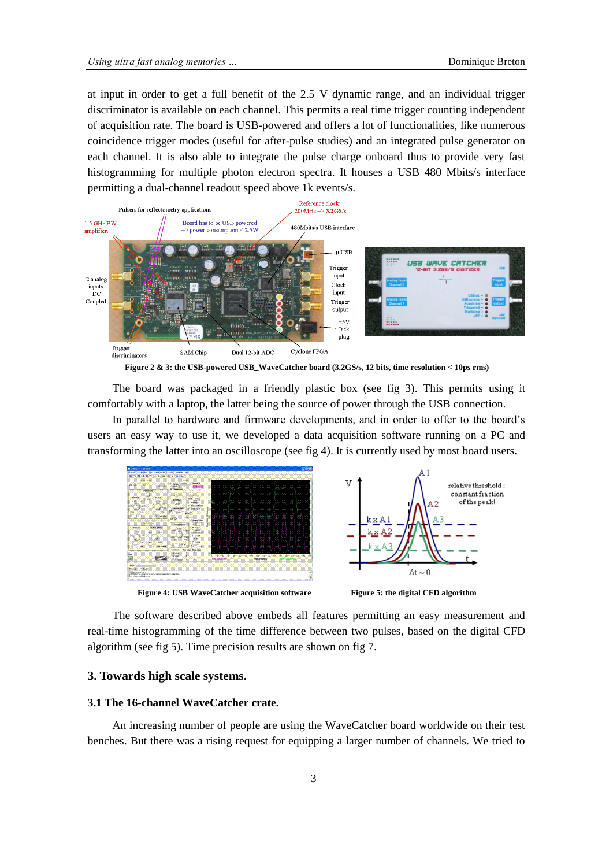at input in order to get a full benefit of the 2.5 V dynamic range, and an individual trigger discriminator is available on each channel. This permits a real time trigger counting independent of acquisition rate. The board is USB-powered and offers a lot of functionalities, like numerous coincidence trigger modes (useful for after-pulse studies) and an integrated pulse generator on each channel. It is also able to integrate the pulse charge onboard thus to provide very fast histogramming for multiple photon electron spectra. It houses a USB 480 Mbits/s interface permitting a dual-channel readout speed above 1k events/s.



**Figure 2 & 3: the USB-powered USB\_WaveCatcher board (3.2GS/s, 12 bits, time resolution < 10ps rms)**

The board was packaged in a friendly plastic box (see fig 3). This permits using it comfortably with a laptop, the latter being the source of power through the USB connection.

In parallel to hardware and firmware developments, and in order to offer to the board's users an easy way to use it, we developed a data acquisition software running on a PC and transforming the latter into an oscilloscope (see fig 4). It is currently used by most board users.



**Figure 4: USB WaveCatcher acquisition software Figure 5: the digital CFD algorithm**



The software described above embeds all features permitting an easy measurement and real-time histogramming of the time difference between two pulses, based on the digital CFD algorithm (see fig 5). Time precision results are shown on fig 7.

#### **3. Towards high scale systems.**

#### **3.1 The 16-channel WaveCatcher crate.**

An increasing number of people are using the WaveCatcher board worldwide on their test benches. But there was a rising request for equipping a larger number of channels. We tried to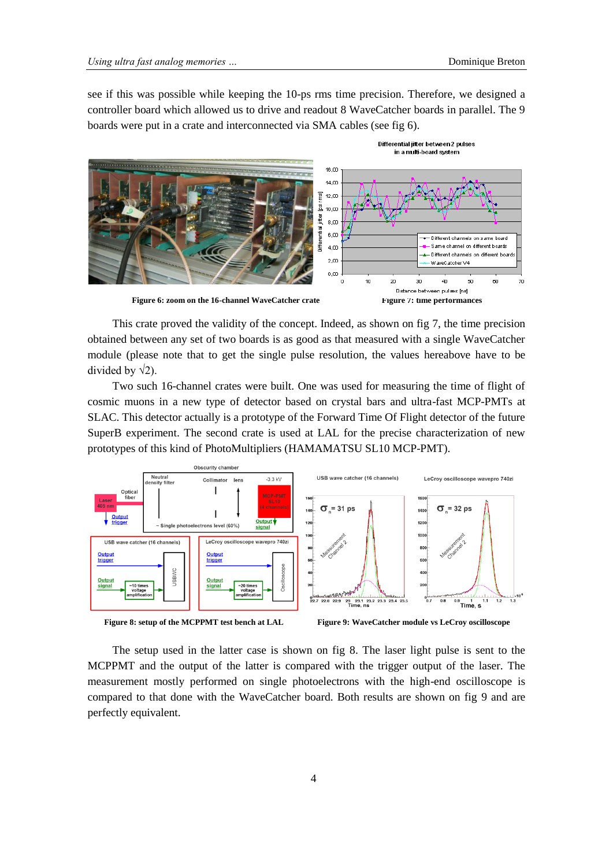see if this was possible while keeping the 10-ps rms time precision. Therefore, we designed a controller board which allowed us to drive and readout 8 WaveCatcher boards in parallel. The 9 boards were put in a crate and interconnected via SMA cables (see fig 6).



This crate proved the validity of the concept. Indeed, as shown on fig 7, the time precision obtained between any set of two boards is as good as that measured with a single WaveCatcher module (please note that to get the single pulse resolution, the values hereabove have to be divided by  $\sqrt{2}$ ).

Two such 16-channel crates were built. One was used for measuring the time of flight of cosmic muons in a new type of detector based on crystal bars and ultra-fast MCP-PMTs at SLAC. This detector actually is a prototype of the Forward Time Of Flight detector of the future SuperB experiment. The second crate is used at LAL for the precise characterization of new prototypes of this kind of PhotoMultipliers (HAMAMATSU SL10 MCP-PMT).





The setup used in the latter case is shown on fig 8. The laser light pulse is sent to the MCPPMT and the output of the latter is compared with the trigger output of the laser. The measurement mostly performed on single photoelectrons with the high-end oscilloscope is compared to that done with the WaveCatcher board. Both results are shown on fig 9 and are perfectly equivalent.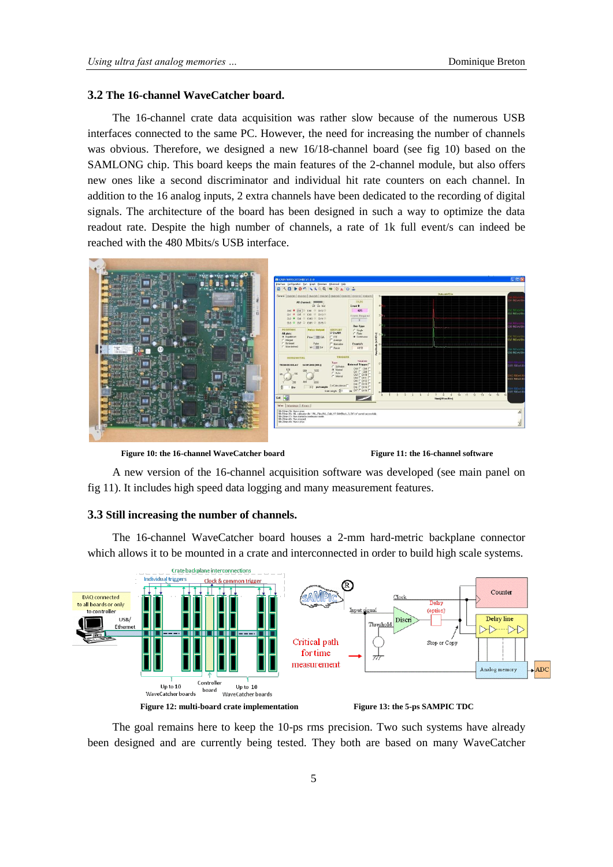#### **3.2 The 16-channel WaveCatcher board.**

The 16-channel crate data acquisition was rather slow because of the numerous USB interfaces connected to the same PC. However, the need for increasing the number of channels was obvious. Therefore, we designed a new 16/18-channel board (see fig 10) based on the SAMLONG chip. This board keeps the main features of the 2-channel module, but also offers new ones like a second discriminator and individual hit rate counters on each channel. In addition to the 16 analog inputs, 2 extra channels have been dedicated to the recording of digital signals. The architecture of the board has been designed in such a way to optimize the data readout rate. Despite the high number of channels, a rate of 1k full event/s can indeed be reached with the 480 Mbits/s USB interface.



**Figure 10: the 16-channel WaveCatcher board Figure 11: the 16-channel software**



A new version of the 16-channel acquisition software was developed (see main panel on fig 11). It includes high speed data logging and many measurement features.

## **3.3 Still increasing the number of channels.**

The 16-channel WaveCatcher board houses a 2-mm hard-metric backplane connector which allows it to be mounted in a crate and interconnected in order to build high scale systems.



The goal remains here to keep the 10-ps rms precision. Two such systems have already been designed and are currently being tested. They both are based on many WaveCatcher